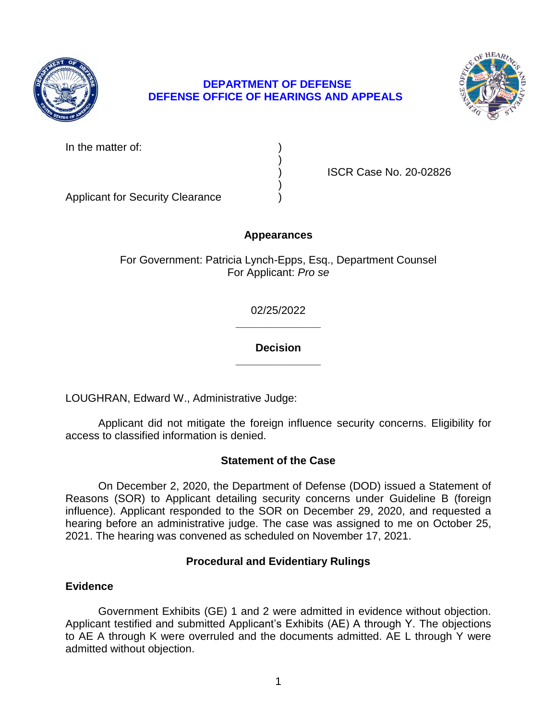

# **DEPARTMENT OF DEFENSE DEFENSE OFFICE OF HEARINGS AND APPEALS**



In the matter of:

) ISCR Case No. 20-02826

Applicant for Security Clearance )

# **Appearances**

)

)

For Government: Patricia Lynch-Epps, Esq., Department Counsel For Applicant: *Pro se* 

> **\_\_\_\_\_\_\_\_\_\_\_\_\_\_**  02/25/2022

### **\_\_\_\_\_\_\_\_\_\_\_\_\_\_ Decision**

LOUGHRAN, Edward W., Administrative Judge:

 Applicant did not mitigate the foreign influence security concerns. Eligibility for access to classified information is denied.

# **Statement of the Case**

 On December 2, 2020, the Department of Defense (DOD) issued a Statement of influence). Applicant responded to the SOR on December 29, 2020, and requested a hearing before an administrative judge. The case was assigned to me on October 25, Reasons (SOR) to Applicant detailing security concerns under Guideline B (foreign 2021. The hearing was convened as scheduled on November 17, 2021.

# **Procedural and Evidentiary Rulings**

# **Evidence**

 Government Exhibits (GE) 1 and 2 were admitted in evidence without objection. Applicant testified and submitted Applicant's Exhibits (AE) A through Y. The objections to AE A through K were overruled and the documents admitted. AE L through Y were admitted without objection.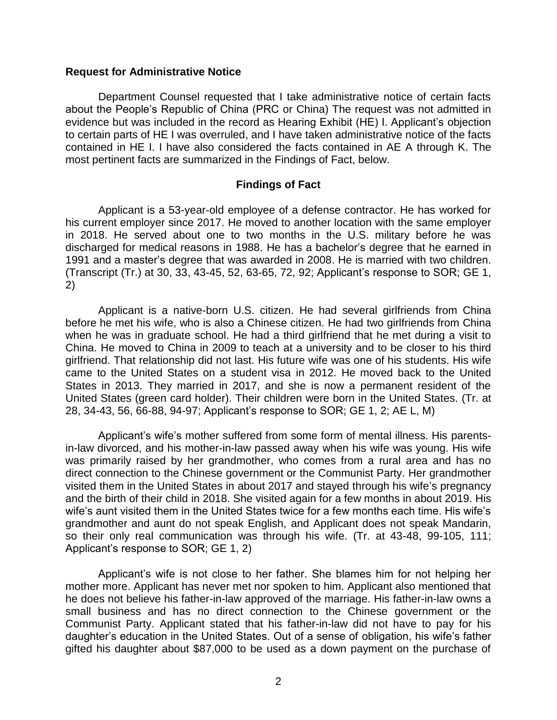#### **Request for Administrative Notice**

 Department Counsel requested that I take administrative notice of certain facts about the People's Republic of China (PRC or China) The request was not admitted in evidence but was included in the record as Hearing Exhibit (HE) I. Applicant's objection to certain parts of HE I was overruled, and I have taken administrative notice of the facts contained in HE I. I have also considered the facts contained in AE A through K. The most pertinent facts are summarized in the Findings of Fact, below.

#### **Findings of Fact**

 Applicant is a 53-year-old employee of a defense contractor. He has worked for his current employer since 2017. He moved to another location with the same employer in 2018. He served about one to two months in the U.S. military before he was discharged for medical reasons in 1988. He has a bachelor's degree that he earned in 1991 and a master's degree that was awarded in 2008. He is married with two children. (Transcript (Tr.) at 30, 33, 43-45, 52, 63-65, 72, 92; Applicant's response to SOR; GE 1, 2)

 Applicant is a native-born U.S. citizen. He had several girlfriends from China before he met his wife, who is also a Chinese citizen. He had two girlfriends from China when he was in graduate school. He had a third girlfriend that he met during a visit to China. He moved to China in 2009 to teach at a university and to be closer to his third came to the United States on a student visa in 2012. He moved back to the United States in 2013. They married in 2017, and she is now a permanent resident of the United States (green card holder). Their children were born in the United States. (Tr. at girlfriend. That relationship did not last. His future wife was one of his students. His wife 28, 34-43, 56, 66-88, 94-97; Applicant's response to SOR; GE 1, 2; AE L, M)

 Applicant's wife's mother suffered from some form of mental illness. His parents- was primarily raised by her grandmother, who comes from a rural area and has no direct connection to the Chinese government or the Communist Party. Her grandmother visited them in the United States in about 2017 and stayed through his wife's pregnancy and the birth of their child in 2018. She visited again for a few months in about 2019. His grandmother and aunt do not speak English, and Applicant does not speak Mandarin, so their only real communication was through his wife. (Tr. at 43-48, 99-105, 111; in-law divorced, and his mother-in-law passed away when his wife was young. His wife wife's aunt visited them in the United States twice for a few months each time. His wife's Applicant's response to SOR; GE 1, 2)

 Applicant's wife is not close to her father. She blames him for not helping her mother more. Applicant has never met nor spoken to him. Applicant also mentioned that he does not believe his father-in-law approved of the marriage. His father-in-law owns a small business and has no direct connection to the Chinese government or the Communist Party. Applicant stated that his father-in-law did not have to pay for his daughter's education in the United States. Out of a sense of obligation, his wife's father gifted his daughter about \$87,000 to be used as a down payment on the purchase of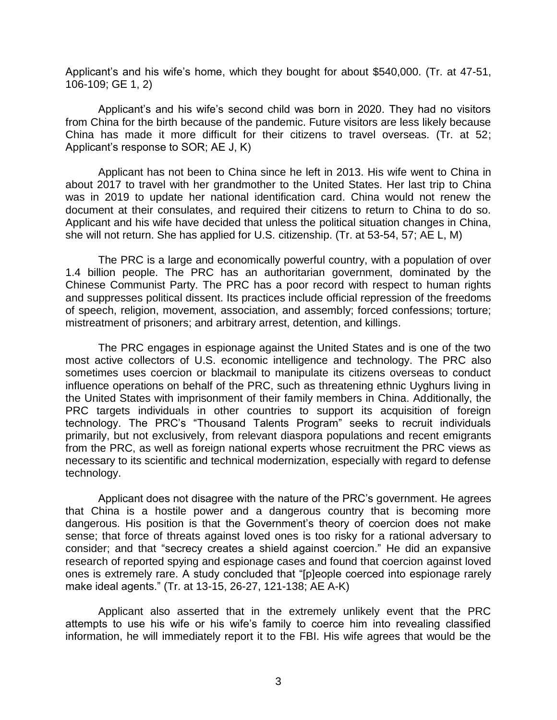Applicant's and his wife's home, which they bought for about \$540,000. (Tr. at 47-51, 106-109; GE 1, 2)

 Applicant's and his wife's second child was born in 2020. They had no visitors from China for the birth because of the pandemic. Future visitors are less likely because China has made it more difficult for their citizens to travel overseas. (Tr. at 52; Applicant's response to SOR; AE J, K)

 Applicant has not been to China since he left in 2013. His wife went to China in about 2017 to travel with her grandmother to the United States. Her last trip to China was in 2019 to update her national identification card. China would not renew the document at their consulates, and required their citizens to return to China to do so. Applicant and his wife have decided that unless the political situation changes in China, she will not return. She has applied for U.S. citizenship. (Tr. at 53-54, 57; AE L, M)

The PRC is a large and economically powerful country, with a population of over 1.4 billion people. The PRC has an authoritarian government, dominated by the Chinese Communist Party. The PRC has a poor record with respect to human rights and suppresses political dissent. Its practices include official repression of the freedoms of speech, religion, movement, association, and assembly; forced confessions; torture; mistreatment of prisoners; and arbitrary arrest, detention, and killings.

 The PRC engages in espionage against the United States and is one of the two most active collectors of U.S. economic intelligence and technology. The PRC also sometimes uses coercion or blackmail to manipulate its citizens overseas to conduct influence operations on behalf of the PRC, such as threatening ethnic Uyghurs living in the United States with imprisonment of their family members in China. Additionally, the PRC targets individuals in other countries to support its acquisition of foreign from the PRC, as well as foreign national experts whose recruitment the PRC views as necessary to its scientific and technical modernization, especially with regard to defense technology. The PRC's "Thousand Talents Program" seeks to recruit individuals primarily, but not exclusively, from relevant diaspora populations and recent emigrants technology.

 Applicant does not disagree with the nature of the PRC's government. He agrees that China is a hostile power and a dangerous country that is becoming more dangerous. His position is that the Government's theory of coercion does not make sense; that force of threats against loved ones is too risky for a rational adversary to consider; and that "secrecy creates a shield against coercion." He did an expansive research of reported spying and espionage cases and found that coercion against loved ones is extremely rare. A study concluded that "[p]eople coerced into espionage rarely make ideal agents." (Tr. at 13-15, 26-27, 121-138; AE A-K)

Applicant also asserted that in the extremely unlikely event that the PRC attempts to use his wife or his wife's family to coerce him into revealing classified information, he will immediately report it to the FBI. His wife agrees that would be the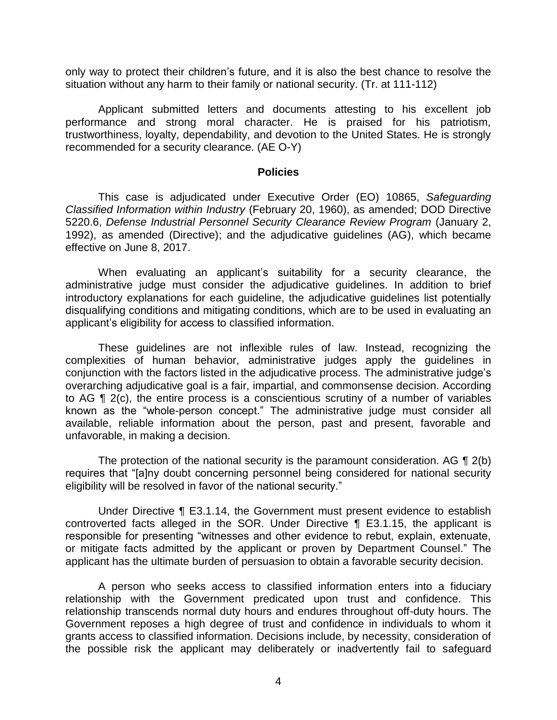only way to protect their children's future, and it is also the best chance to resolve the situation without any harm to their family or national security. (Tr. at 111-112)

 Applicant submitted letters and documents attesting to his excellent job performance and strong moral character. He is praised for his patriotism, trustworthiness, loyalty, dependability, and devotion to the United States. He is strongly recommended for a security clearance. (AE O-Y)

#### **Policies**

 *Classified Information within Industry* (February 20, 1960), as amended; DOD Directive 5220.6, *Defense Industrial Personnel Security Clearance Review Program* (January 2, 1992), as amended (Directive); and the adjudicative guidelines (AG), which became This case is adjudicated under Executive Order (EO) 10865, *Safeguarding*  effective on June 8, 2017.

 When evaluating an applicant's suitability for a security clearance, the administrative judge must consider the adjudicative guidelines. In addition to brief introductory explanations for each guideline, the adjudicative guidelines list potentially disqualifying conditions and mitigating conditions, which are to be used in evaluating an applicant's eligibility for access to classified information.

 These guidelines are not inflexible rules of law. Instead, recognizing the complexities of human behavior, administrative judges apply the guidelines in conjunction with the factors listed in the adjudicative process. The administrative judge's overarching adjudicative goal is a fair, impartial, and commonsense decision. According to AG ¶ 2(c), the entire process is a conscientious scrutiny of a number of variables known as the "whole-person concept." The administrative judge must consider all available, reliable information about the person, past and present, favorable and unfavorable, in making a decision.

The protection of the national security is the paramount consideration. AG  $\P$  2(b) eligibility will be resolved in favor of the national security." requires that "[a]ny doubt concerning personnel being considered for national security

 Under Directive ¶ E3.1.14, the Government must present evidence to establish controverted facts alleged in the SOR. Under Directive ¶ E3.1.15, the applicant is responsible for presenting "witnesses and other evidence to rebut, explain, extenuate, or mitigate facts admitted by the applicant or proven by Department Counsel." The applicant has the ultimate burden of persuasion to obtain a favorable security decision.

 A person who seeks access to classified information enters into a fiduciary relationship with the Government predicated upon trust and confidence. This relationship transcends normal duty hours and endures throughout off-duty hours. The Government reposes a high degree of trust and confidence in individuals to whom it grants access to classified information. Decisions include, by necessity, consideration of the possible risk the applicant may deliberately or inadvertently fail to safeguard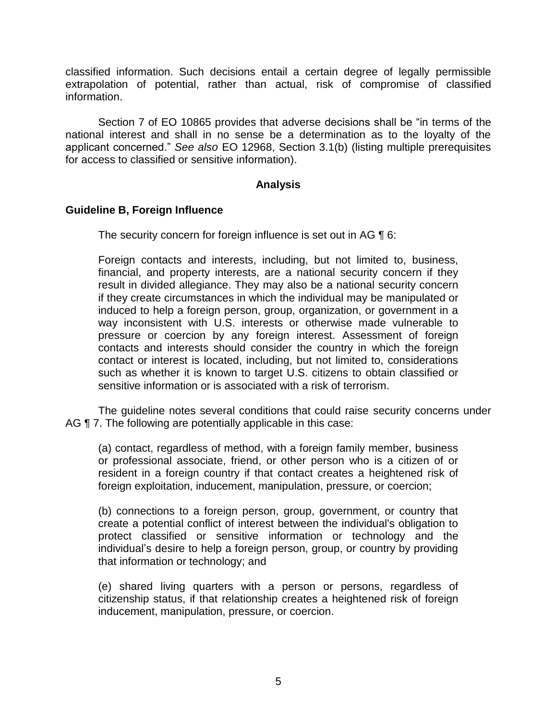classified information. Such decisions entail a certain degree of legally permissible extrapolation of potential, rather than actual, risk of compromise of classified information.

 Section 7 of EO 10865 provides that adverse decisions shall be "in terms of the national interest and shall in no sense be a determination as to the loyalty of the applicant concerned." *See also* EO 12968, Section 3.1(b) (listing multiple prerequisites for access to classified or sensitive information).

### **Analysis**

### **Guideline B, Foreign Influence**

The security concern for foreign influence is set out in AG  $\P$  6:

Foreign contacts and interests, including, but not limited to, business, financial, and property interests, are a national security concern if they result in divided allegiance. They may also be a national security concern if they create circumstances in which the individual may be manipulated or induced to help a foreign person, group, organization, or government in a way inconsistent with U.S. interests or otherwise made vulnerable to pressure or coercion by any foreign interest. Assessment of foreign contacts and interests should consider the country in which the foreign contact or interest is located, including, but not limited to, considerations such as whether it is known to target U.S. citizens to obtain classified or sensitive information or is associated with a risk of terrorism.

 The guideline notes several conditions that could raise security concerns under AG  $\P$  7. The following are potentially applicable in this case:

(a) contact, regardless of method, with a foreign family member, business or professional associate, friend, or other person who is a citizen of or resident in a foreign country if that contact creates a heightened risk of foreign exploitation, inducement, manipulation, pressure, or coercion;

(b) connections to a foreign person, group, government, or country that create a potential conflict of interest between the individual's obligation to protect classified or sensitive information or technology and the individual's desire to help a foreign person, group, or country by providing that information or technology; and

 (e) shared living quarters with a person or persons, regardless of citizenship status, if that relationship creates a heightened risk of foreign inducement, manipulation, pressure, or coercion.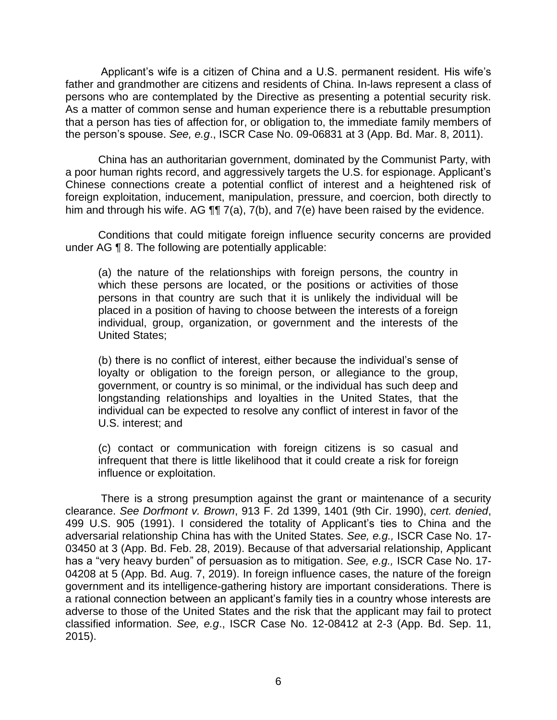Applicant's wife is a citizen of China and a U.S. permanent resident. His wife's father and grandmother are citizens and residents of China. In-laws represent a class of persons who are contemplated by the Directive as presenting a potential security risk. As a matter of common sense and human experience there is a rebuttable presumption that a person has ties of affection for, or obligation to, the immediate family members of the person's spouse. *See, e.g*., ISCR Case No. 09-06831 at 3 (App. Bd. Mar. 8, 2011).

 China has an authoritarian government, dominated by the Communist Party, with Chinese connections create a potential conflict of interest and a heightened risk of foreign exploitation, inducement, manipulation, pressure, and coercion, both directly to him and through his wife. AG  $\P\P$  7(a), 7(b), and 7(e) have been raised by the evidence. a poor human rights record, and aggressively targets the U.S. for espionage. Applicant's

 Conditions that could mitigate foreign influence security concerns are provided under AG ¶ 8. The following are potentially applicable:

(a) the nature of the relationships with foreign persons, the country in which these persons are located, or the positions or activities of those persons in that country are such that it is unlikely the individual will be placed in a position of having to choose between the interests of a foreign individual, group, organization, or government and the interests of the United States;

(b) there is no conflict of interest, either because the individual's sense of loyalty or obligation to the foreign person, or allegiance to the group, government, or country is so minimal, or the individual has such deep and longstanding relationships and loyalties in the United States, that the individual can be expected to resolve any conflict of interest in favor of the U.S. interest; and

(c) contact or communication with foreign citizens is so casual and infrequent that there is little likelihood that it could create a risk for foreign influence or exploitation.

There is a strong presumption against the grant or maintenance of a security clearance. *See Dorfmont v. Brown*, 913 F. 2d 1399, 1401 (9th Cir. 1990), *cert. denied*, 499 U.S. 905 (1991). I considered the totality of Applicant's ties to China and the adversarial relationship China has with the United States. *See, e.g.,* ISCR Case No. 17- 03450 at 3 (App. Bd. Feb. 28, 2019). Because of that adversarial relationship, Applicant has a "very heavy burden" of persuasion as to mitigation. *See, e.g.,* ISCR Case No. 17- 04208 at 5 (App. Bd. Aug. 7, 2019). In foreign influence cases, the nature of the foreign government and its intelligence-gathering history are important considerations. There is a rational connection between an applicant's family ties in a country whose interests are adverse to those of the United States and the risk that the applicant may fail to protect classified information. *See, e.g*., ISCR Case No. 12-08412 at 2-3 (App. Bd. Sep. 11, 2015).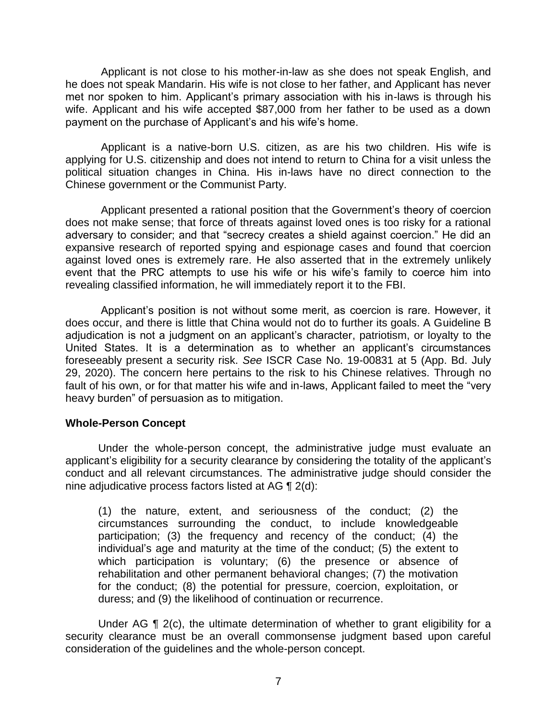Applicant is not close to his mother-in-law as she does not speak English, and he does not speak Mandarin. His wife is not close to her father, and Applicant has never met nor spoken to him. Applicant's primary association with his in-laws is through his wife. Applicant and his wife accepted \$87,000 from her father to be used as a down payment on the purchase of Applicant's and his wife's home.

 Applicant is a native-born U.S. citizen, as are his two children. His wife is applying for U.S. citizenship and does not intend to return to China for a visit unless the political situation changes in China. His in-laws have no direct connection to the Chinese government or the Communist Party.

 Applicant presented a rational position that the Government's theory of coercion does not make sense; that force of threats against loved ones is too risky for a rational adversary to consider; and that "secrecy creates a shield against coercion." He did an expansive research of reported spying and espionage cases and found that coercion against loved ones is extremely rare. He also asserted that in the extremely unlikely event that the PRC attempts to use his wife or his wife's family to coerce him into revealing classified information, he will immediately report it to the FBI.

 Applicant's position is not without some merit, as coercion is rare. However, it does occur, and there is little that China would not do to further its goals. A Guideline B adjudication is not a judgment on an applicant's character, patriotism, or loyalty to the United States. It is a determination as to whether an applicant's circumstances foreseeably present a security risk. *See* ISCR Case No. 19-00831 at 5 (App. Bd. July 29, 2020). The concern here pertains to the risk to his Chinese relatives. Through no fault of his own, or for that matter his wife and in-laws, Applicant failed to meet the "very heavy burden" of persuasion as to mitigation.

### **Whole-Person Concept**

 Under the whole-person concept, the administrative judge must evaluate an applicant's eligibility for a security clearance by considering the totality of the applicant's conduct and all relevant circumstances. The administrative judge should consider the nine adjudicative process factors listed at AG ¶ 2(d):

(1) the nature, extent, and seriousness of the conduct; (2) the circumstances surrounding the conduct, to include knowledgeable participation; (3) the frequency and recency of the conduct; (4) the individual's age and maturity at the time of the conduct; (5) the extent to which participation is voluntary; (6) the presence or absence of rehabilitation and other permanent behavioral changes; (7) the motivation for the conduct; (8) the potential for pressure, coercion, exploitation, or duress; and (9) the likelihood of continuation or recurrence.

Under AG ¶ 2(c), the ultimate determination of whether to grant eligibility for a security clearance must be an overall commonsense judgment based upon careful consideration of the guidelines and the whole-person concept.